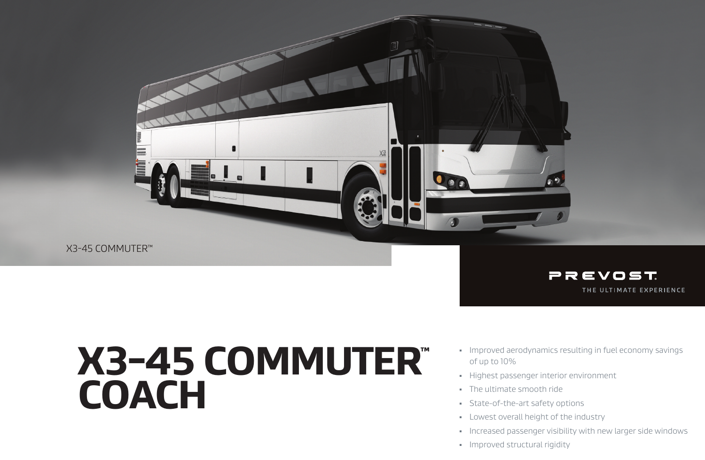

X3-45 COMMUTER™



# X3-45 COMMUTER™ COACH

- **IMPROVED aerodynamics resulting in fuel economy savings** of up to 10%
- Highest passenger interior environment
- **The ultimate smooth ride**
- **State-of-the-art safety options**
- **Lowest overall height of the industry**
- **Increased passenger visibility with new larger side windows**
- **Improved structural rigidity**